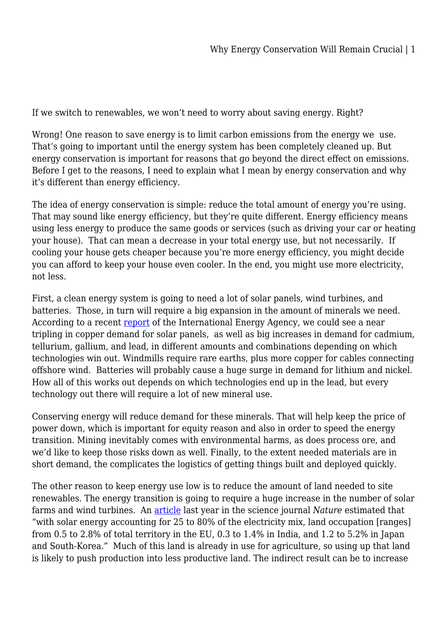If we switch to renewables, we won't need to worry about saving energy. Right?

Wrong! One reason to save energy is to limit carbon emissions from the energy we use. That's going to important until the energy system has been completely cleaned up. But energy conservation is important for reasons that go beyond the direct effect on emissions. Before I get to the reasons, I need to explain what I mean by energy conservation and why it's different than energy efficiency.

The idea of energy conservation is simple: reduce the total amount of energy you're using. That may sound like energy efficiency, but they're quite different. Energy efficiency means using less energy to produce the same goods or services (such as driving your car or heating your house). That can mean a decrease in your total energy use, but not necessarily. If cooling your house gets cheaper because you're more energy efficiency, you might decide you can afford to keep your house even cooler. In the end, you might use more electricity, not less.

First, a clean energy system is going to need a lot of solar panels, wind turbines, and batteries. Those, in turn will require a big expansion in the amount of minerals we need. According to a recent [report](https://www.iea.org/reports/the-role-of-critical-minerals-in-clean-energy-transitions/mineral-requirements-for-clean-energy-transitions) of the International Energy Agency, we could see a near tripling in copper demand for solar panels, as well as big increases in demand for cadmium, tellurium, gallium, and lead, in different amounts and combinations depending on which technologies win out. Windmills require rare earths, plus more copper for cables connecting offshore wind. Batteries will probably cause a huge surge in demand for lithium and nickel. How all of this works out depends on which technologies end up in the lead, but every technology out there will require a lot of new mineral use.

Conserving energy will reduce demand for these minerals. That will help keep the price of power down, which is important for equity reason and also in order to speed the energy transition. Mining inevitably comes with environmental harms, as does process ore, and we'd like to keep those risks down as well. Finally, to the extent needed materials are in short demand, the complicates the logistics of getting things built and deployed quickly.

The other reason to keep energy use low is to reduce the amount of land needed to site renewables. The energy transition is going to require a huge increase in the number of solar farms and wind turbines. An [article](https://www.nature.com/articles/s41598-021-82042-5) last year in the science journal *Nature* estimated that "with solar energy accounting for 25 to 80% of the electricity mix, land occupation [ranges] from 0.5 to 2.8% of total territory in the EU, 0.3 to 1.4% in India, and 1.2 to 5.2% in Japan and South-Korea." Much of this land is already in use for agriculture, so using up that land is likely to push production into less productive land. The indirect result can be to increase